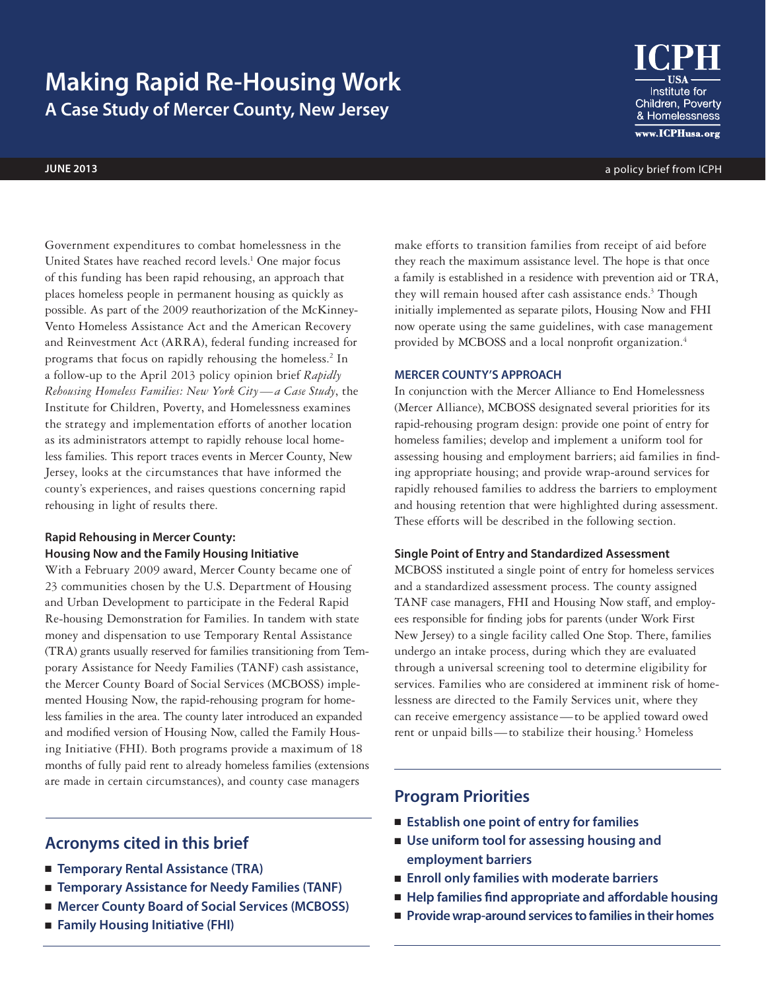# **Making Rapid Re-Housing Work A Case Study of Mercer County, New Jersey**

Institute for Children, Poverty & Homelessness www.ICPHusa.org

**june 2013** a policy brief from ICPH

Government expenditures to combat homelessness in the United States have reached record levels.<sup>1</sup> One major focus of this funding has been rapid rehousing, an approach that places homeless people in permanent housing as quickly as possible. As part of the 2009 reauthorization of the McKinney-Vento Homeless Assistance Act and the American Recovery and Reinvestment Act (ARRA), federal funding increased for programs that focus on rapidly rehousing the homeless.<sup>2</sup> In a follow-up to the April 2013 policy opinion brief *Rapidly Rehousing Homeless Families: New York City—a Case Study*, the Institute for Children, Poverty, and Homelessness examines the strategy and implementation efforts of another location as its administrators attempt to rapidly rehouse local homeless families. This report traces events in Mercer County, New Jersey, looks at the circumstances that have informed the county's experiences, and raises questions concerning rapid rehousing in light of results there.

## **Rapid Rehousing in Mercer County: Housing Now and the Family Housing Initiative**

With a February 2009 award, Mercer County became one of 23 communities chosen by the U.S. Department of Housing and Urban Development to participate in the Federal Rapid Re-housing Demonstration for Families. In tandem with state money and dispensation to use Temporary Rental Assistance (TRA) grants usually reserved for families transitioning from Temporary Assistance for Needy Families (TANF) cash assistance, the Mercer County Board of Social Services (MCBOSS) implemented Housing Now, the rapid-rehousing program for homeless families in the area. The county later introduced an expanded and modified version of Housing Now, called the Family Housing Initiative (FHI). Both programs provide a maximum of 18 months of fully paid rent to already homeless families (extensions are made in certain circumstances), and county case managers

# **Acronyms cited in this brief**

- **Temporary Rental Assistance (TRA)**
- **Temporary Assistance for Needy Families (TANF)**
- Mercer County Board of Social Services (MCBOSS)
- **Family Housing Initiative (FHI)**

make efforts to transition families from receipt of aid before they reach the maximum assistance level. The hope is that once a family is established in a residence with prevention aid or TRA, they will remain housed after cash assistance ends.<sup>3</sup> Though initially implemented as separate pilots, Housing Now and FHI now operate using the same guidelines, with case management provided by MCBOSS and a local nonprofit organization.4

#### **MERCER COUNTY'S APPROACH**

In conjunction with the Mercer Alliance to End Homelessness (Mercer Alliance), MCBOSS designated several priorities for its rapid-rehousing program design: provide one point of entry for homeless families; develop and implement a uniform tool for assessing housing and employment barriers; aid families in finding appropriate housing; and provide wrap-around services for rapidly rehoused families to address the barriers to employment and housing retention that were highlighted during assessment. These efforts will be described in the following section.

#### **Single Point of Entry and Standardized Assessment**

MCBOSS instituted a single point of entry for homeless services and a standardized assessment process. The county assigned TANF case managers, FHI and Housing Now staff, and employees responsible for finding jobs for parents (under Work First New Jersey) to a single facility called One Stop. There, families undergo an intake process, during which they are evaluated through a universal screening tool to determine eligibility for services. Families who are considered at imminent risk of homelessness are directed to the Family Services unit, where they can receive emergency assistance—to be applied toward owed rent or unpaid bills—to stabilize their housing.<sup>5</sup> Homeless

# **Program Priorities**

- **Establish one point of entry for families**
- Use uniform tool for assessing housing and **employment barriers**
- **Enroll only families with moderate barriers**
- **Help families find appropriate and affordable housing**
- **Provide wrap-around services to families in their homes**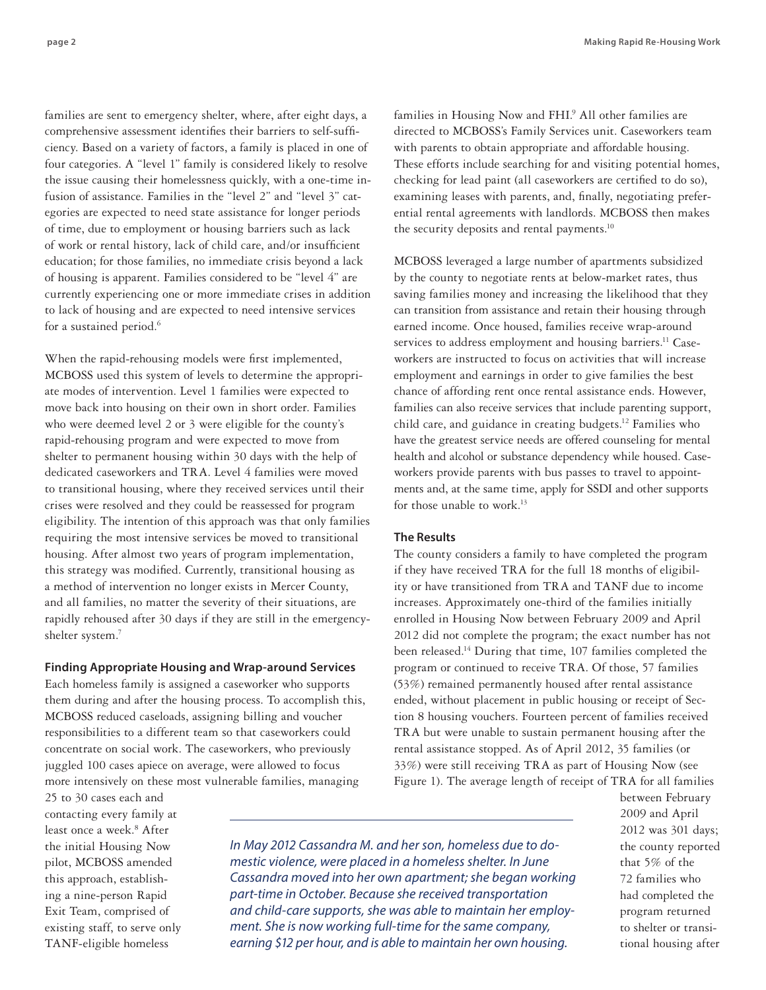families are sent to emergency shelter, where, after eight days, a comprehensive assessment identifies their barriers to self-sufficiency. Based on a variety of factors, a family is placed in one of four categories. A "level 1" family is considered likely to resolve the issue causing their homelessness quickly, with a one-time infusion of assistance. Families in the "level 2" and "level 3" categories are expected to need state assistance for longer periods of time, due to employment or housing barriers such as lack of work or rental history, lack of child care, and/or insufficient education; for those families, no immediate crisis beyond a lack of housing is apparent. Families considered to be "level 4" are currently experiencing one or more immediate crises in addition to lack of housing and are expected to need intensive services for a sustained period.<sup>6</sup>

When the rapid-rehousing models were first implemented, MCBOSS used this system of levels to determine the appropriate modes of intervention. Level 1 families were expected to move back into housing on their own in short order. Families who were deemed level 2 or 3 were eligible for the county's rapid-rehousing program and were expected to move from shelter to permanent housing within 30 days with the help of dedicated caseworkers and TRA. Level 4 families were moved to transitional housing, where they received services until their crises were resolved and they could be reassessed for program eligibility. The intention of this approach was that only families requiring the most intensive services be moved to transitional housing. After almost two years of program implementation, this strategy was modified. Currently, transitional housing as a method of intervention no longer exists in Mercer County, and all families, no matter the severity of their situations, are rapidly rehoused after 30 days if they are still in the emergencyshelter system.7

#### **Finding Appropriate Housing and Wrap-around Services**

Each homeless family is assigned a caseworker who supports them during and after the housing process. To accomplish this, MCBOSS reduced caseloads, assigning billing and voucher responsibilities to a different team so that caseworkers could concentrate on social work. The caseworkers, who previously juggled 100 cases apiece on average, were allowed to focus more intensively on these most vulnerable families, managing

families in Housing Now and FHI.<sup>9</sup> All other families are directed to MCBOSS's Family Services unit. Caseworkers team

with parents to obtain appropriate and affordable housing. These efforts include searching for and visiting potential homes, checking for lead paint (all caseworkers are certified to do so), examining leases with parents, and, finally, negotiating preferential rental agreements with landlords. MCBOSS then makes the security deposits and rental payments.<sup>10</sup>

MCBOSS leveraged a large number of apartments subsidized by the county to negotiate rents at below-market rates, thus saving families money and increasing the likelihood that they can transition from assistance and retain their housing through earned income. Once housed, families receive wrap-around services to address employment and housing barriers.<sup>11</sup> Caseworkers are instructed to focus on activities that will increase employment and earnings in order to give families the best chance of affording rent once rental assistance ends. However, families can also receive services that include parenting support, child care, and guidance in creating budgets.12 Families who have the greatest service needs are offered counseling for mental health and alcohol or substance dependency while housed. Caseworkers provide parents with bus passes to travel to appointments and, at the same time, apply for SSDI and other supports for those unable to work.<sup>13</sup>

#### **The Results**

The county considers a family to have completed the program if they have received TRA for the full 18 months of eligibility or have transitioned from TRA and TANF due to income increases. Approximately one-third of the families initially enrolled in Housing Now between February 2009 and April 2012 did not complete the program; the exact number has not been released.14 During that time, 107 families completed the program or continued to receive TRA. Of those, 57 families (53%) remained permanently housed after rental assistance ended, without placement in public housing or receipt of Section 8 housing vouchers. Fourteen percent of families received TRA but were unable to sustain permanent housing after the rental assistance stopped. As of April 2012, 35 families (or 33%) were still receiving TRA as part of Housing Now (see Figure 1). The average length of receipt of TRA for all families

25 to 30 cases each and contacting every family at least once a week.<sup>8</sup> After the initial Housing Now pilot, MCBOSS amended this approach, establishing a nine-person Rapid Exit Team, comprised of existing staff, to serve only TANF-eligible homeless

*In May 2012 Cassandra M. and her son, homeless due to domestic violence, were placed in a homeless shelter. In June Cassandra moved into her own apartment; she began working part-time in October. Because she received transportation and child-care supports, she was able to maintain her employment. She is now working full-time for the same company, earning \$12 per hour, and is able to maintain her own housing.*

between February 2009 and April 2012 was 301 days; the county reported that 5% of the 72 families who had completed the program returned to shelter or transitional housing after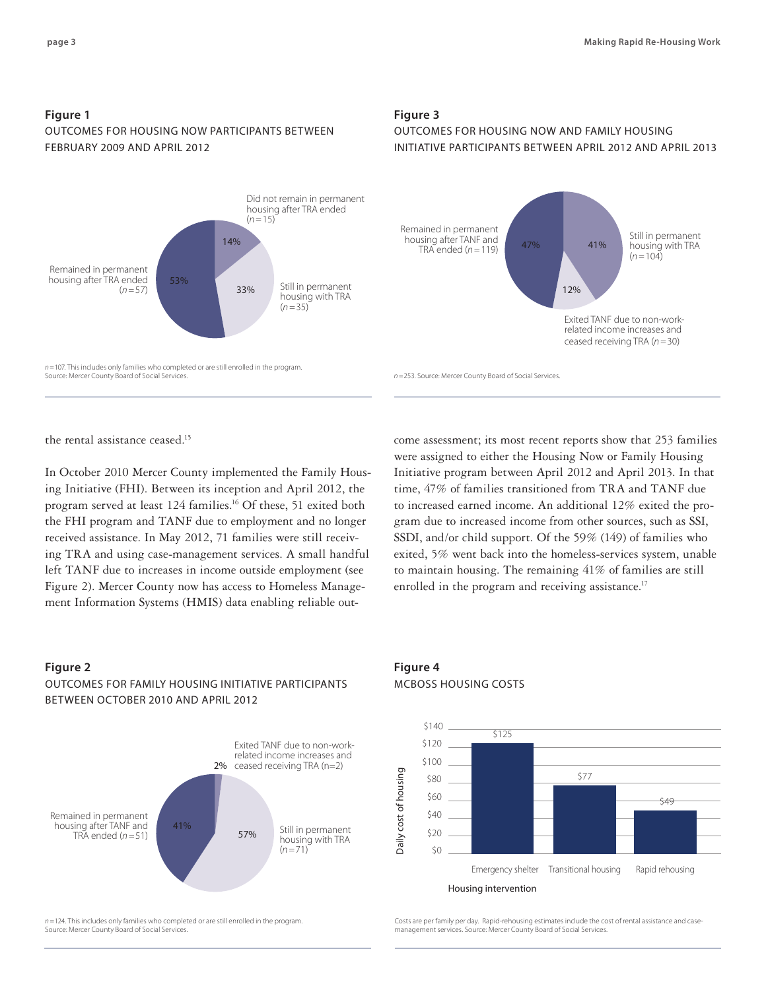# **Figure 1** Outcomes for Housing NOW Participants between February 2009 and April 2012



*n =*107. This includes only families who completed or are still enrolled in the program. Source: Mercer County Board of Social Services.

#### **Figure 3**

# Outcomes for Housing Now and Family Housing Initiative Participants between April 2012 and April 2013



*n =*253. Source: Mercer County Board of Social Services.

the rental assistance ceased.<sup>15</sup>

In October 2010 Mercer County implemented the Family Housing Initiative (FHI). Between its inception and April 2012, the program served at least 124 families.16 Of these, 51 exited both the FHI program and TANF due to employment and no longer received assistance. In May 2012, 71 families were still receiving TRA and using case-management services. A small handful left TANF due to increases in income outside employment (see Figure 2). Mercer County now has access to Homeless Management Information Systems (HMIS) data enabling reliable out-

# were assigned to either the Housing Now or Family Housing Initiative program between April 2012 and April 2013. In that time, 47% of families transitioned from TRA and TANF due to increased earned income. An additional 12% exited the program due to increased income from other sources, such as SSI, SSDI, and/or child support. Of the 59% (149) of families who exited, 5% went back into the homeless-services system, unable to maintain housing. The remaining 41% of families are still enrolled in the program and receiving assistance.<sup>17</sup>

come assessment; its most recent reports show that 253 families

### **Figure 2**

# Outcomes for Family Housing Initiative participants between october 2010 and April 2012



*n =*124. This includes only families who completed or are still enrolled in the program. Source: Mercer County Board of Social Services.

**Figure 4** MCBOSS HOUSING COSTS



Costs are per family per day. Rapid-rehousing estimates include the cost of rental assistance and casemanagement services. Source: Mercer County Board of Social Services.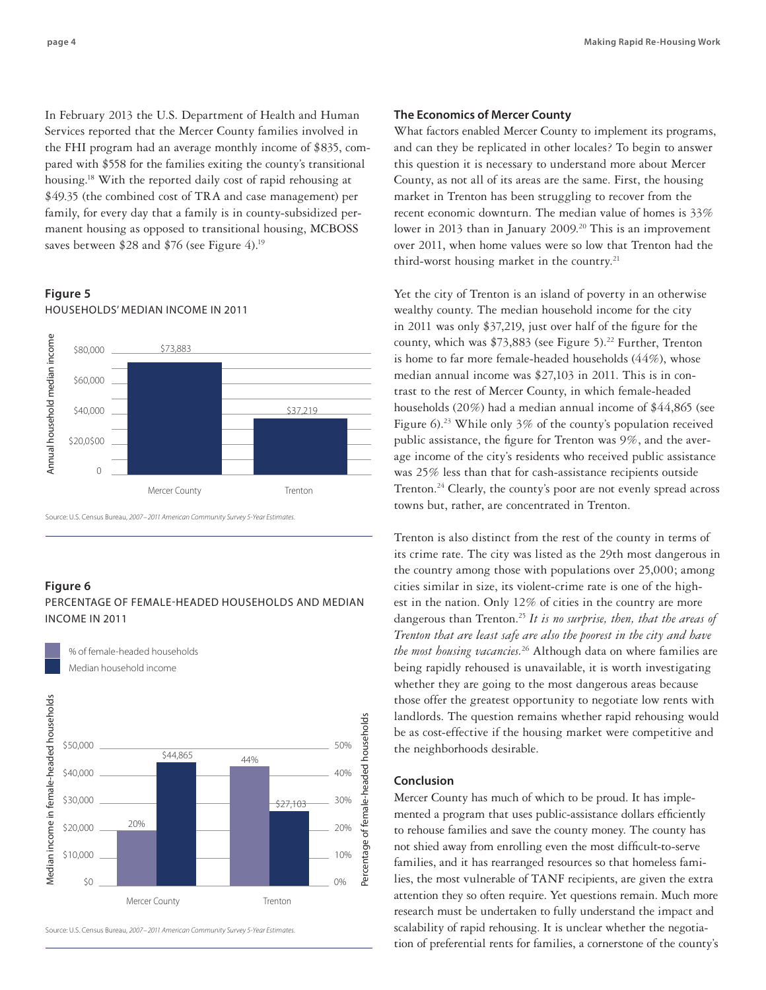In February 2013 the U.S. Department of Health and Human Services reported that the Mercer County families involved in the FHI program had an average monthly income of \$835, compared with \$558 for the families exiting the county's transitional housing.18 With the reported daily cost of rapid rehousing at \$49.35 (the combined cost of TRA and case management) per family, for every day that a family is in county-subsidized permanent housing as opposed to transitional housing, MCBOSS saves between \$28 and \$76 (see Figure 4).<sup>19</sup>

# **Figure 5** Households' median income in 2011



Source: U.S. Census Bureau, *2007–2011 American Community Survey 5-Year Estimates.*

% of female-headed households

#### **Figure 6**

# PERCENTAGE OF FEMALE-HEADED HOUSEHOLDS AND MEDIAN INCOME IN 2011



Source: U.S. Census Bureau, *2007–2011 American Community Survey 5-Year Estimates.*

#### **The Economics of Mercer County**

What factors enabled Mercer County to implement its programs, and can they be replicated in other locales? To begin to answer this question it is necessary to understand more about Mercer County, as not all of its areas are the same. First, the housing market in Trenton has been struggling to recover from the recent economic downturn. The median value of homes is 33% lower in 2013 than in January  $2009$ .<sup>20</sup> This is an improvement over 2011, when home values were so low that Trenton had the third-worst housing market in the country.<sup>21</sup>

Yet the city of Trenton is an island of poverty in an otherwise wealthy county. The median household income for the city in 2011 was only \$37,219, just over half of the figure for the county, which was  $$73,883$  (see Figure 5).<sup>22</sup> Further, Trenton is home to far more female-headed households (44%), whose median annual income was \$27,103 in 2011. This is in contrast to the rest of Mercer County, in which female-headed households (20%) had a median annual income of \$44,865 (see Figure 6).<sup>23</sup> While only 3% of the county's population received public assistance, the figure for Trenton was 9%, and the average income of the city's residents who received public assistance was 25% less than that for cash-assistance recipients outside Trenton.24 Clearly, the county's poor are not evenly spread across towns but, rather, are concentrated in Trenton.

Trenton is also distinct from the rest of the county in terms of its crime rate. The city was listed as the 29th most dangerous in the country among those with populations over 25,000; among cities similar in size, its violent-crime rate is one of the highest in the nation. Only 12% of cities in the country are more dangerous than Trenton.25 *It is no surprise, then, that the areas of Trenton that are least safe are also the poorest in the city and have the most housing vacancies.* 26 Although data on where families are being rapidly rehoused is unavailable, it is worth investigating whether they are going to the most dangerous areas because those offer the greatest opportunity to negotiate low rents with landlords. The question remains whether rapid rehousing would be as cost-effective if the housing market were competitive and the neighborhoods desirable.

#### **Conclusion**

Mercer County has much of which to be proud. It has implemented a program that uses public-assistance dollars efficiently to rehouse families and save the county money. The county has not shied away from enrolling even the most difficult-to-serve families, and it has rearranged resources so that homeless families, the most vulnerable of TANF recipients, are given the extra attention they so often require. Yet questions remain. Much more research must be undertaken to fully understand the impact and scalability of rapid rehousing. It is unclear whether the negotiation of preferential rents for families, a cornerstone of the county's